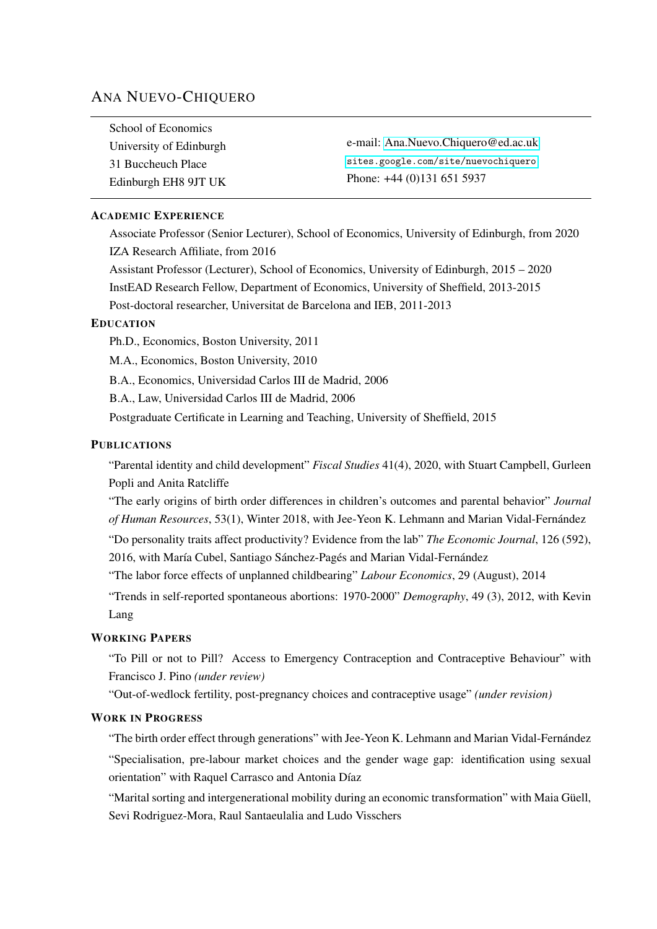# ANA NUEVO-CHIQUERO

| School of Economics     |                                     |
|-------------------------|-------------------------------------|
| University of Edinburgh | e-mail: Ana.Nuevo.Chiquero@ed.ac.uk |
| 31 Buccheuch Place      | sites.google.com/site/nuevochiquero |
| Edinburgh EH8 9JT UK    | Phone: $+44(0)1316515937$           |

## ACADEMIC EXPERIENCE

Associate Professor (Senior Lecturer), School of Economics, University of Edinburgh, from 2020 IZA Research Affiliate, from 2016

Assistant Professor (Lecturer), School of Economics, University of Edinburgh, 2015 – 2020 InstEAD Research Fellow, Department of Economics, University of Sheffield, 2013-2015 Post-doctoral researcher, Universitat de Barcelona and IEB, 2011-2013

# EDUCATION

Ph.D., Economics, Boston University, 2011

M.A., Economics, Boston University, 2010

B.A., Economics, Universidad Carlos III de Madrid, 2006

B.A., Law, Universidad Carlos III de Madrid, 2006

Postgraduate Certificate in Learning and Teaching, University of Sheffield, 2015

## **PUBLICATIONS**

"Parental identity and child development" *Fiscal Studies* 41(4), 2020, with Stuart Campbell, Gurleen Popli and Anita Ratcliffe

"The early origins of birth order differences in children's outcomes and parental behavior" *Journal of Human Resources*, 53(1), Winter 2018, with Jee-Yeon K. Lehmann and Marian Vidal-Fernández

"Do personality traits affect productivity? Evidence from the lab" *The Economic Journal*, 126 (592), 2016, with María Cubel, Santiago Sánchez-Pagés and Marian Vidal-Fernández

"The labor force effects of unplanned childbearing" *Labour Economics*, 29 (August), 2014

"Trends in self-reported spontaneous abortions: 1970-2000" *Demography*, 49 (3), 2012, with Kevin Lang

## WORKING PAPERS

"To Pill or not to Pill? Access to Emergency Contraception and Contraceptive Behaviour" with Francisco J. Pino *(under review)*

"Out-of-wedlock fertility, post-pregnancy choices and contraceptive usage" *(under revision)*

## WORK IN PROGRESS

"The birth order effect through generations" with Jee-Yeon K. Lehmann and Marian Vidal-Fernández "Specialisation, pre-labour market choices and the gender wage gap: identification using sexual orientation" with Raquel Carrasco and Antonia Díaz

"Marital sorting and intergenerational mobility during an economic transformation" with Maia Güell, Sevi Rodriguez-Mora, Raul Santaeulalia and Ludo Visschers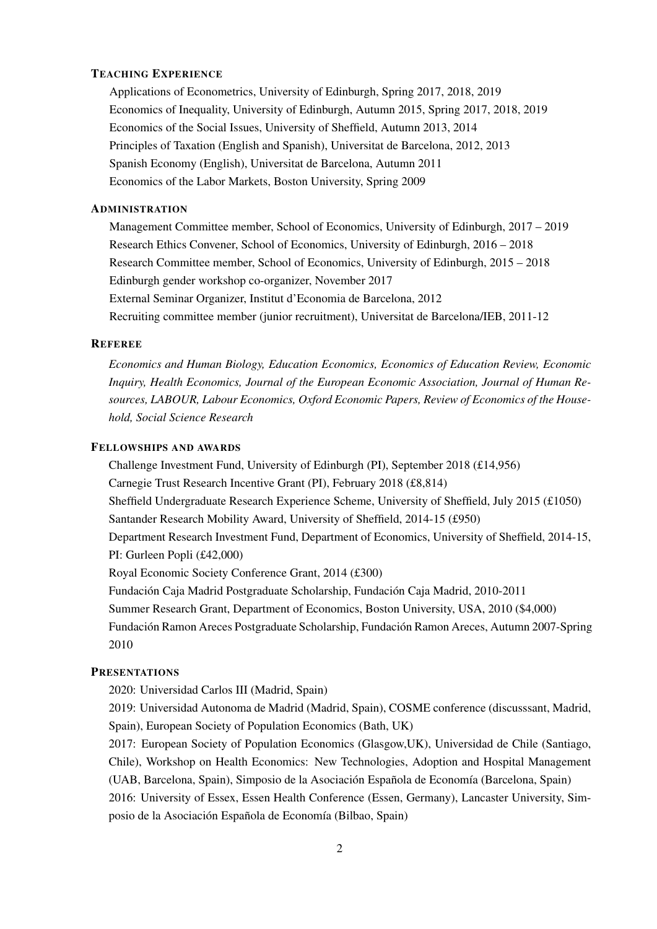## TEACHING EXPERIENCE

Applications of Econometrics, University of Edinburgh, Spring 2017, 2018, 2019 Economics of Inequality, University of Edinburgh, Autumn 2015, Spring 2017, 2018, 2019 Economics of the Social Issues, University of Sheffield, Autumn 2013, 2014 Principles of Taxation (English and Spanish), Universitat de Barcelona, 2012, 2013 Spanish Economy (English), Universitat de Barcelona, Autumn 2011 Economics of the Labor Markets, Boston University, Spring 2009

## **ADMINISTRATION**

Management Committee member, School of Economics, University of Edinburgh, 2017 – 2019 Research Ethics Convener, School of Economics, University of Edinburgh, 2016 – 2018 Research Committee member, School of Economics, University of Edinburgh, 2015 – 2018 Edinburgh gender workshop co-organizer, November 2017 External Seminar Organizer, Institut d'Economia de Barcelona, 2012 Recruiting committee member (junior recruitment), Universitat de Barcelona/IEB, 2011-12

#### **REFEREE**

*Economics and Human Biology, Education Economics, Economics of Education Review, Economic Inquiry, Health Economics, Journal of the European Economic Association, Journal of Human Resources, LABOUR, Labour Economics, Oxford Economic Papers, Review of Economics of the Household, Social Science Research*

#### FELLOWSHIPS AND AWARDS

Challenge Investment Fund, University of Edinburgh (PI), September 2018 (£14,956) Carnegie Trust Research Incentive Grant (PI), February 2018 (£8,814) Sheffield Undergraduate Research Experience Scheme, University of Sheffield, July 2015 (£1050) Santander Research Mobility Award, University of Sheffield, 2014-15 (£950) Department Research Investment Fund, Department of Economics, University of Sheffield, 2014-15, PI: Gurleen Popli (£42,000) Royal Economic Society Conference Grant, 2014 (£300) Fundación Caja Madrid Postgraduate Scholarship, Fundación Caja Madrid, 2010-2011 Summer Research Grant, Department of Economics, Boston University, USA, 2010 (\$4,000) Fundación Ramon Areces Postgraduate Scholarship, Fundación Ramon Areces, Autumn 2007-Spring 2010

## **PRESENTATIONS**

2020: Universidad Carlos III (Madrid, Spain)

2019: Universidad Autonoma de Madrid (Madrid, Spain), COSME conference (discusssant, Madrid, Spain), European Society of Population Economics (Bath, UK)

2017: European Society of Population Economics (Glasgow,UK), Universidad de Chile (Santiago, Chile), Workshop on Health Economics: New Technologies, Adoption and Hospital Management (UAB, Barcelona, Spain), Simposio de la Asociación Española de Economía (Barcelona, Spain) 2016: University of Essex, Essen Health Conference (Essen, Germany), Lancaster University, Simposio de la Asociación Española de Economía (Bilbao, Spain)